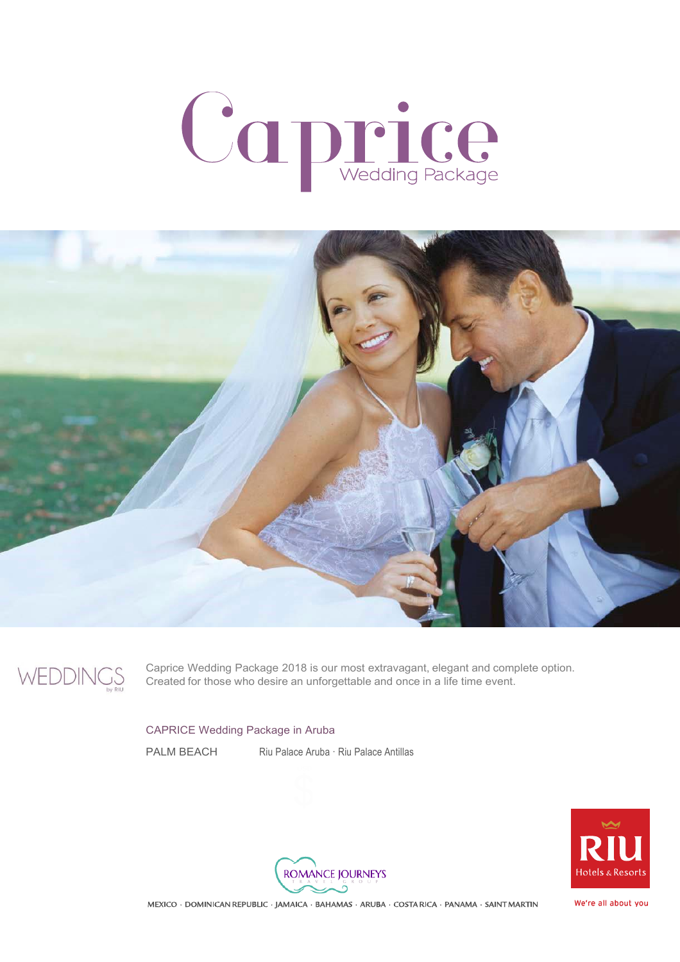## Caprice



$$
\text{WEDDING}_{\text{by RU}}^{\text{S}}
$$

Caprice Wedding Package 2018 is our most extravagant, elegant and complete option. Created for those who desire an unforgettable and once in a life time event.

## CAPRICE Wedding Package in Aruba

PALM BEACH Riu Palace Aruba · Riu Palace Antillas





MEXICO · DOMINICAN REPUBLIC · JAMAICA · BAHAMAS · ARUBA · COSTA RICA · PANAMA · SAINT MARTIN

We're all about you